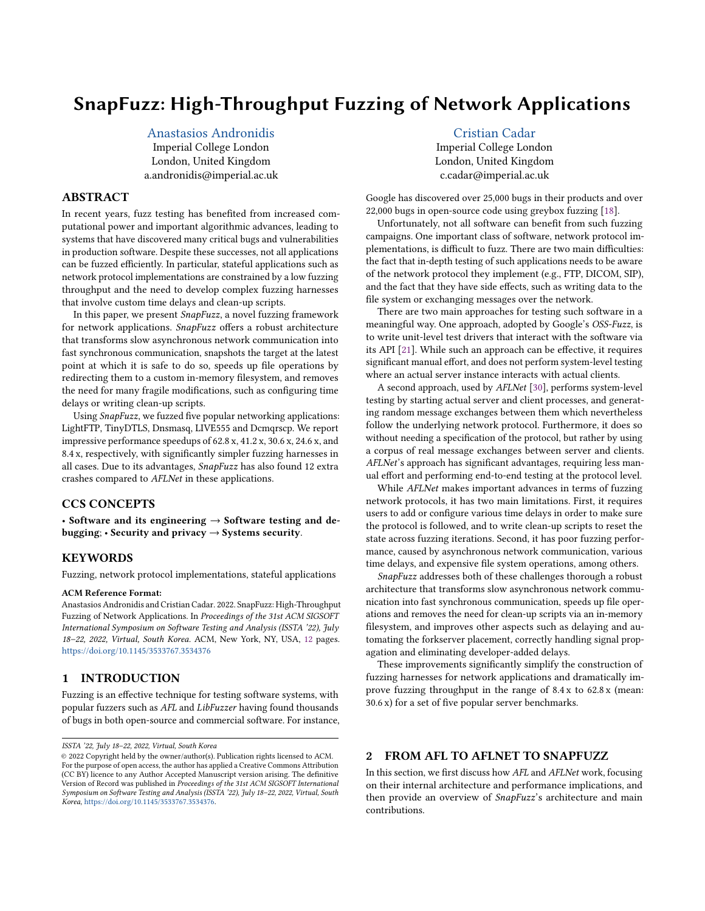# SnapFuzz: High-Throughput Fuzzing of Network Applications

[Anastasios Andronidis](https://orcid.org/0000-0001-6456-6685)

Imperial College London London, United Kingdom a.andronidis@imperial.ac.uk

# ABSTRACT

In recent years, fuzz testing has benefited from increased computational power and important algorithmic advances, leading to systems that have discovered many critical bugs and vulnerabilities in production software. Despite these successes, not all applications can be fuzzed efficiently. In particular, stateful applications such as network protocol implementations are constrained by a low fuzzing throughput and the need to develop complex fuzzing harnesses that involve custom time delays and clean-up scripts.

In this paper, we present SnapFuzz, a novel fuzzing framework for network applications. SnapFuzz offers a robust architecture that transforms slow asynchronous network communication into fast synchronous communication, snapshots the target at the latest point at which it is safe to do so, speeds up file operations by redirecting them to a custom in-memory filesystem, and removes the need for many fragile modifications, such as configuring time delays or writing clean-up scripts.

Using SnapFuzz, we fuzzed five popular networking applications: LightFTP, TinyDTLS, Dnsmasq, LIVE555 and Dcmqrscp. We report impressive performance speedups of 62.8 x, 41.2 x, 30.6 x, 24.6 x, and 8.4 x, respectively, with significantly simpler fuzzing harnesses in all cases. Due to its advantages, SnapFuzz has also found 12 extra crashes compared to AFLNet in these applications.

### CCS CONCEPTS

• Software and its engineering  $\rightarrow$  Software testing and debugging;  $\cdot$  Security and privacy  $\rightarrow$  Systems security.

# **KEYWORDS**

Fuzzing, network protocol implementations, stateful applications

#### ACM Reference Format:

Anastasios Andronidis and Cristian Cadar. 2022. SnapFuzz: High-Throughput Fuzzing of Network Applications. In Proceedings of the 31st ACM SIGSOFT International Symposium on Software Testing and Analysis (ISSTA '22), July 18–22, 2022, Virtual, South Korea. ACM, New York, NY, USA, [12](#page-11-0) pages. <https://doi.org/10.1145/3533767.3534376>

# 1 INTRODUCTION

Fuzzing is an effective technique for testing software systems, with popular fuzzers such as AFL and LibFuzzer having found thousands of bugs in both open-source and commercial software. For instance,

# [Cristian Cadar](https://orcid.org/0000-0002-3599-7264)

Imperial College London London, United Kingdom c.cadar@imperial.ac.uk

Google has discovered over 25,000 bugs in their products and over 22,000 bugs in open-source code using greybox fuzzing [\[18\]](#page-11-1).

Unfortunately, not all software can benefit from such fuzzing campaigns. One important class of software, network protocol implementations, is difficult to fuzz. There are two main difficulties: the fact that in-depth testing of such applications needs to be aware of the network protocol they implement (e.g., FTP, DICOM, SIP), and the fact that they have side effects, such as writing data to the file system or exchanging messages over the network.

There are two main approaches for testing such software in a meaningful way. One approach, adopted by Google's OSS-Fuzz, is to write unit-level test drivers that interact with the software via its API [\[21\]](#page-11-2). While such an approach can be effective, it requires significant manual effort, and does not perform system-level testing where an actual server instance interacts with actual clients.

A second approach, used by AFLNet [\[30\]](#page-11-3), performs system-level testing by starting actual server and client processes, and generating random message exchanges between them which nevertheless follow the underlying network protocol. Furthermore, it does so without needing a specification of the protocol, but rather by using a corpus of real message exchanges between server and clients. AFLNet's approach has significant advantages, requiring less manual effort and performing end-to-end testing at the protocol level.

While AFLNet makes important advances in terms of fuzzing network protocols, it has two main limitations. First, it requires users to add or configure various time delays in order to make sure the protocol is followed, and to write clean-up scripts to reset the state across fuzzing iterations. Second, it has poor fuzzing performance, caused by asynchronous network communication, various time delays, and expensive file system operations, among others.

SnapFuzz addresses both of these challenges thorough a robust architecture that transforms slow asynchronous network communication into fast synchronous communication, speeds up file operations and removes the need for clean-up scripts via an in-memory filesystem, and improves other aspects such as delaying and automating the forkserver placement, correctly handling signal propagation and eliminating developer-added delays.

These improvements significantly simplify the construction of fuzzing harnesses for network applications and dramatically improve fuzzing throughput in the range of 8.4 x to 62.8 x (mean: 30.6 x) for a set of five popular server benchmarks.

# 2 FROM AFL TO AFLNET TO SNAPFUZZ

In this section, we first discuss how AFL and AFLNet work, focusing on their internal architecture and performance implications, and then provide an overview of SnapFuzz's architecture and main contributions.

ISSTA '22, July 18–22, 2022, Virtual, South Korea

<sup>©</sup> 2022 Copyright held by the owner/author(s). Publication rights licensed to ACM. For the purpose of open access, the author has applied a Creative Commons Attribution (CC BY) licence to any Author Accepted Manuscript version arising. The definitive Version of Record was published in Proceedings of the 31st ACM SIGSOFT International Symposium on Software Testing and Analysis (ISSTA '22), July 18–22, 2022, Virtual, South Korea, [https://doi.org/10.1145/3533767.3534376.](https://doi.org/10.1145/3533767.3534376)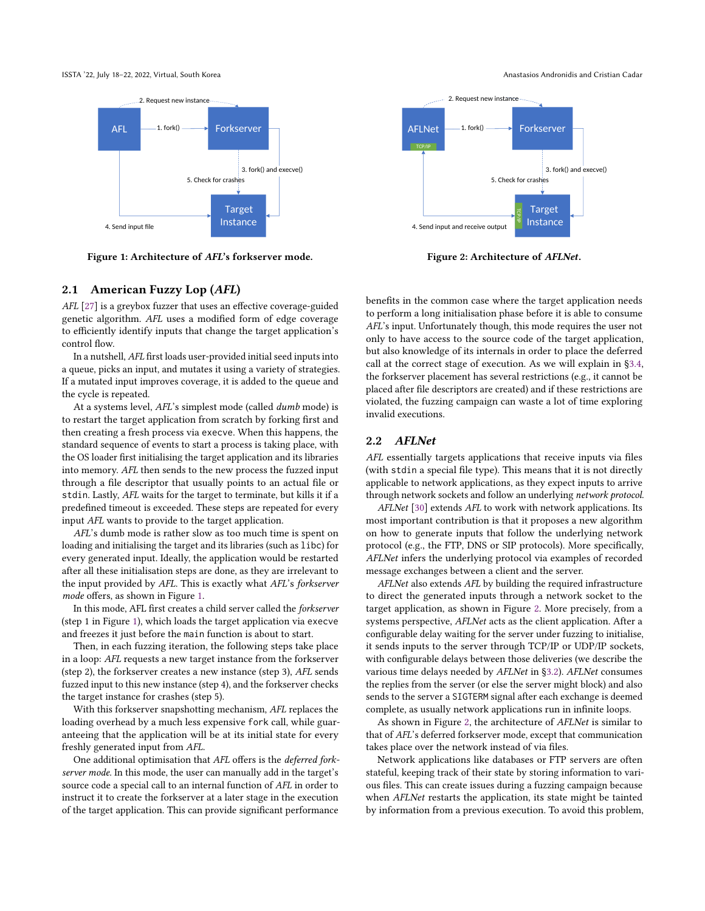<span id="page-1-0"></span>ISSTA '22, July 18–22, 2022, Virtual, South Korea Anastasios Andronidis and Cristian Cadar



Figure 1: Architecture of AFL's forkserver mode.

# <span id="page-1-2"></span>2.1 American Fuzzy Lop (AFL)

AFL [\[27\]](#page-11-4) is a greybox fuzzer that uses an effective coverage-guided genetic algorithm. AFL uses a modified form of edge coverage to efficiently identify inputs that change the target application's control flow.

In a nutshell, AFL first loads user-provided initial seed inputs into a queue, picks an input, and mutates it using a variety of strategies. If a mutated input improves coverage, it is added to the queue and the cycle is repeated.

At a systems level, AFL's simplest mode (called dumb mode) is to restart the target application from scratch by forking first and then creating a fresh process via execve. When this happens, the standard sequence of events to start a process is taking place, with the OS loader first initialising the target application and its libraries into memory. AFL then sends to the new process the fuzzed input through a file descriptor that usually points to an actual file or stdin. Lastly, AFL waits for the target to terminate, but kills it if a predefined timeout is exceeded. These steps are repeated for every input AFL wants to provide to the target application.

AFL's dumb mode is rather slow as too much time is spent on loading and initialising the target and its libraries (such as libc) for every generated input. Ideally, the application would be restarted after all these initialisation steps are done, as they are irrelevant to the input provided by AFL. This is exactly what AFL's forkserver mode offers, as shown in Figure [1.](#page-1-0)

In this mode, AFL first creates a child server called the forkserver (step 1 in Figure [1\)](#page-1-0), which loads the target application via execve and freezes it just before the main function is about to start.

Then, in each fuzzing iteration, the following steps take place in a loop: AFL requests a new target instance from the forkserver (step 2), the forkserver creates a new instance (step 3), AFL sends fuzzed input to this new instance (step 4), and the forkserver checks the target instance for crashes (step 5).

With this forkserver snapshotting mechanism, AFL replaces the loading overhead by a much less expensive fork call, while guaranteeing that the application will be at its initial state for every freshly generated input from AFL.

One additional optimisation that AFL offers is the deferred forkserver mode. In this mode, the user can manually add in the target's source code a special call to an internal function of AFL in order to instruct it to create the forkserver at a later stage in the execution of the target application. This can provide significant performance

<span id="page-1-1"></span>

Figure 2: Architecture of AFLNet.

benefits in the common case where the target application needs to perform a long initialisation phase before it is able to consume AFL's input. Unfortunately though, this mode requires the user not only to have access to the source code of the target application, but also knowledge of its internals in order to place the deferred call at the correct stage of execution. As we will explain in [§3.4,](#page-4-0) the forkserver placement has several restrictions (e.g., it cannot be placed after file descriptors are created) and if these restrictions are violated, the fuzzing campaign can waste a lot of time exploring invalid executions.

### 2.2 AFLNet

AFL essentially targets applications that receive inputs via files (with stdin a special file type). This means that it is not directly applicable to network applications, as they expect inputs to arrive through network sockets and follow an underlying network protocol.

AFLNet [\[30\]](#page-11-3) extends AFL to work with network applications. Its most important contribution is that it proposes a new algorithm on how to generate inputs that follow the underlying network protocol (e.g., the FTP, DNS or SIP protocols). More specifically, AFLNet infers the underlying protocol via examples of recorded message exchanges between a client and the server.

AFLNet also extends AFL by building the required infrastructure to direct the generated inputs through a network socket to the target application, as shown in Figure [2.](#page-1-1) More precisely, from a systems perspective, AFLNet acts as the client application. After a configurable delay waiting for the server under fuzzing to initialise, it sends inputs to the server through TCP/IP or UDP/IP sockets, with configurable delays between those deliveries (we describe the various time delays needed by AFLNet in [§3.2\)](#page-3-0). AFLNet consumes the replies from the server (or else the server might block) and also sends to the server a SIGTERM signal after each exchange is deemed complete, as usually network applications run in infinite loops.

As shown in Figure [2,](#page-1-1) the architecture of AFLNet is similar to that of AFL's deferred forkserver mode, except that communication takes place over the network instead of via files.

Network applications like databases or FTP servers are often stateful, keeping track of their state by storing information to various files. This can create issues during a fuzzing campaign because when AFLNet restarts the application, its state might be tainted by information from a previous execution. To avoid this problem,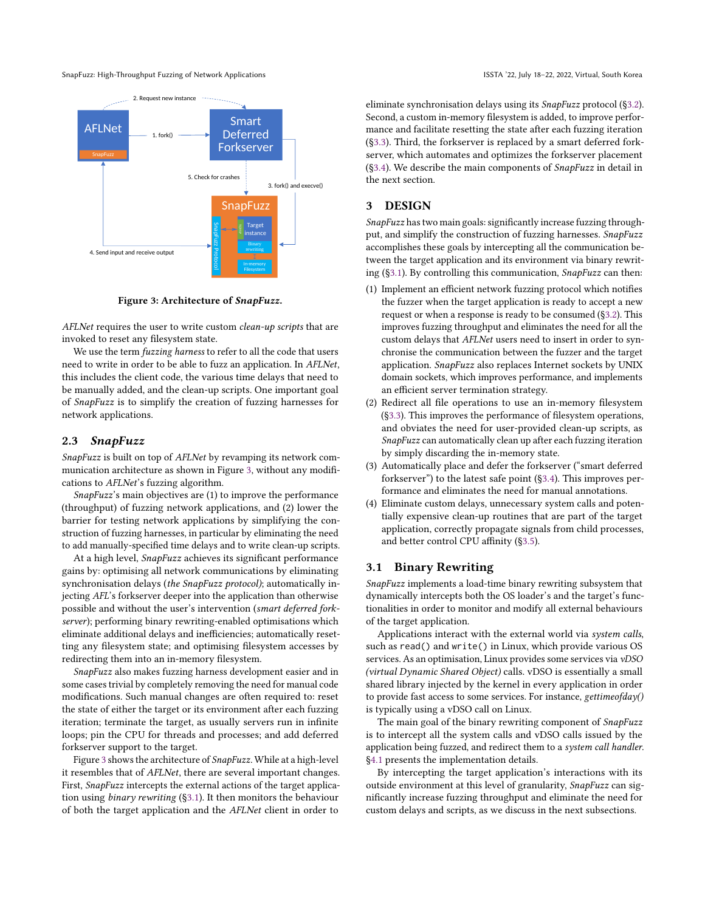SnapFuzz: High-Throughput Fuzzing of Network Applications **ISSTA** '22, July 18-22, 2022, Virtual, South Korea

<span id="page-2-0"></span>

Figure 3: Architecture of SnapFuzz.

AFLNet requires the user to write custom clean-up scripts that are invoked to reset any filesystem state.

We use the term fuzzing harness to refer to all the code that users need to write in order to be able to fuzz an application. In AFLNet, this includes the client code, the various time delays that need to be manually added, and the clean-up scripts. One important goal of SnapFuzz is to simplify the creation of fuzzing harnesses for network applications.

#### 2.3 SnapFuzz

SnapFuzz is built on top of AFLNet by revamping its network communication architecture as shown in Figure [3,](#page-2-0) without any modifications to AFLNet's fuzzing algorithm.

SnapFuzz's main objectives are (1) to improve the performance (throughput) of fuzzing network applications, and (2) lower the barrier for testing network applications by simplifying the construction of fuzzing harnesses, in particular by eliminating the need to add manually-specified time delays and to write clean-up scripts.

At a high level, SnapFuzz achieves its significant performance gains by: optimising all network communications by eliminating synchronisation delays (the SnapFuzz protocol); automatically injecting AFL's forkserver deeper into the application than otherwise possible and without the user's intervention (smart deferred forkserver); performing binary rewriting-enabled optimisations which eliminate additional delays and inefficiencies; automatically resetting any filesystem state; and optimising filesystem accesses by redirecting them into an in-memory filesystem.

SnapFuzz also makes fuzzing harness development easier and in some cases trivial by completely removing the need for manual code modifications. Such manual changes are often required to: reset the state of either the target or its environment after each fuzzing iteration; terminate the target, as usually servers run in infinite loops; pin the CPU for threads and processes; and add deferred forkserver support to the target.

Figure [3](#page-2-0) shows the architecture of SnapFuzz. While at a high-level it resembles that of AFLNet, there are several important changes. First, SnapFuzz intercepts the external actions of the target application using binary rewriting ([§3.1\)](#page-2-1). It then monitors the behaviour of both the target application and the AFLNet client in order to

eliminate synchronisation delays using its SnapFuzz protocol ([§3.2\)](#page-3-0). Second, a custom in-memory filesystem is added, to improve performance and facilitate resetting the state after each fuzzing iteration ([§3.3\)](#page-3-1). Third, the forkserver is replaced by a smart deferred forkserver, which automates and optimizes the forkserver placement ([§3.4\)](#page-4-0). We describe the main components of SnapFuzz in detail in the next section.

# 3 DESIGN

SnapFuzz has two main goals: significantly increase fuzzing throughput, and simplify the construction of fuzzing harnesses. SnapFuzz accomplishes these goals by intercepting all the communication between the target application and its environment via binary rewriting ([§3.1\)](#page-2-1). By controlling this communication, SnapFuzz can then:

- (1) Implement an efficient network fuzzing protocol which notifies the fuzzer when the target application is ready to accept a new request or when a response is ready to be consumed ([§3.2\)](#page-3-0). This improves fuzzing throughput and eliminates the need for all the custom delays that AFLNet users need to insert in order to synchronise the communication between the fuzzer and the target application. SnapFuzz also replaces Internet sockets by UNIX domain sockets, which improves performance, and implements an efficient server termination strategy.
- (2) Redirect all file operations to use an in-memory filesystem ([§3.3\)](#page-3-1). This improves the performance of filesystem operations, and obviates the need for user-provided clean-up scripts, as SnapFuzz can automatically clean up after each fuzzing iteration by simply discarding the in-memory state.
- (3) Automatically place and defer the forkserver ("smart deferred forkserver") to the latest safe point ([§3.4\)](#page-4-0). This improves performance and eliminates the need for manual annotations.
- (4) Eliminate custom delays, unnecessary system calls and potentially expensive clean-up routines that are part of the target application, correctly propagate signals from child processes, and better control CPU affinity ([§3.5\)](#page-4-1).

#### <span id="page-2-1"></span>3.1 Binary Rewriting

SnapFuzz implements a load-time binary rewriting subsystem that dynamically intercepts both the OS loader's and the target's functionalities in order to monitor and modify all external behaviours of the target application.

Applications interact with the external world via system calls, such as read() and write() in Linux, which provide various OS services. As an optimisation, Linux provides some services via vDSO (virtual Dynamic Shared Object) calls. vDSO is essentially a small shared library injected by the kernel in every application in order to provide fast access to some services. For instance, gettimeofday() is typically using a vDSO call on Linux.

The main goal of the binary rewriting component of SnapFuzz is to intercept all the system calls and vDSO calls issued by the application being fuzzed, and redirect them to a system call handler. [§4.1](#page-5-0) presents the implementation details.

By intercepting the target application's interactions with its outside environment at this level of granularity, SnapFuzz can significantly increase fuzzing throughput and eliminate the need for custom delays and scripts, as we discuss in the next subsections.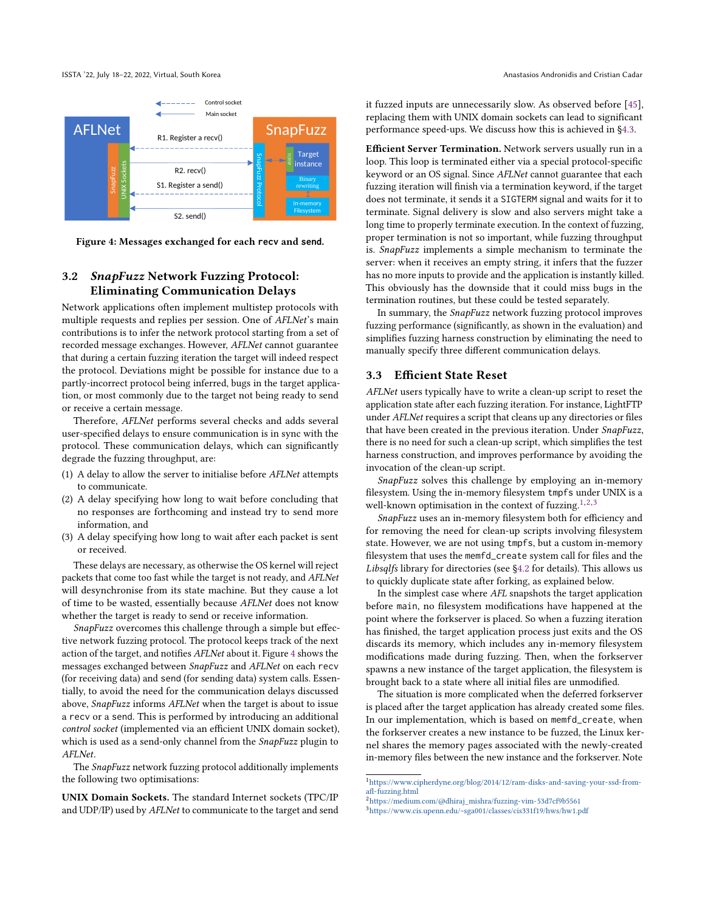<span id="page-3-2"></span>

Figure 4: Messages exchanged for each **recv** and **send**.

# <span id="page-3-0"></span>3.2 SnapFuzz Network Fuzzing Protocol: Eliminating Communication Delays

Network applications often implement multistep protocols with multiple requests and replies per session. One of AFLNet's main contributions is to infer the network protocol starting from a set of recorded message exchanges. However, AFLNet cannot guarantee that during a certain fuzzing iteration the target will indeed respect the protocol. Deviations might be possible for instance due to a partly-incorrect protocol being inferred, bugs in the target application, or most commonly due to the target not being ready to send or receive a certain message.

Therefore, AFLNet performs several checks and adds several user-specified delays to ensure communication is in sync with the protocol. These communication delays, which can significantly degrade the fuzzing throughput, are:

- (1) A delay to allow the server to initialise before AFLNet attempts to communicate.
- (2) A delay specifying how long to wait before concluding that no responses are forthcoming and instead try to send more information, and
- (3) A delay specifying how long to wait after each packet is sent or received.

These delays are necessary, as otherwise the OS kernel will reject packets that come too fast while the target is not ready, and AFLNet will desynchronise from its state machine. But they cause a lot of time to be wasted, essentially because AFLNet does not know whether the target is ready to send or receive information.

SnapFuzz overcomes this challenge through a simple but effective network fuzzing protocol. The protocol keeps track of the next action of the target, and notifies AFLNet about it. Figure [4](#page-3-2) shows the messages exchanged between SnapFuzz and AFLNet on each recv (for receiving data) and send (for sending data) system calls. Essentially, to avoid the need for the communication delays discussed above, SnapFuzz informs AFLNet when the target is about to issue a recv or a send. This is performed by introducing an additional control socket (implemented via an efficient UNIX domain socket), which is used as a send-only channel from the SnapFuzz plugin to AFLNet.

The SnapFuzz network fuzzing protocol additionally implements the following two optimisations:

UNIX Domain Sockets. The standard Internet sockets (TPC/IP and UDP/IP) used by AFLNet to communicate to the target and send

it fuzzed inputs are unnecessarily slow. As observed before [\[45\]](#page-11-5), replacing them with UNIX domain sockets can lead to significant performance speed-ups. We discuss how this is achieved in [§4.3.](#page-5-1)

Efficient Server Termination. Network servers usually run in a loop. This loop is terminated either via a special protocol-specific keyword or an OS signal. Since AFLNet cannot guarantee that each fuzzing iteration will finish via a termination keyword, if the target does not terminate, it sends it a SIGTERM signal and waits for it to terminate. Signal delivery is slow and also servers might take a long time to properly terminate execution. In the context of fuzzing, proper termination is not so important, while fuzzing throughput is. SnapFuzz implements a simple mechanism to terminate the server: when it receives an empty string, it infers that the fuzzer has no more inputs to provide and the application is instantly killed. This obviously has the downside that it could miss bugs in the termination routines, but these could be tested separately.

In summary, the SnapFuzz network fuzzing protocol improves fuzzing performance (significantly, as shown in the evaluation) and simplifies fuzzing harness construction by eliminating the need to manually specify three different communication delays.

#### <span id="page-3-1"></span>3.3 Efficient State Reset

AFLNet users typically have to write a clean-up script to reset the application state after each fuzzing iteration. For instance, LightFTP under AFLNet requires a script that cleans up any directories or files that have been created in the previous iteration. Under SnapFuzz, there is no need for such a clean-up script, which simplifies the test harness construction, and improves performance by avoiding the invocation of the clean-up script.

SnapFuzz solves this challenge by employing an in-memory filesystem. Using the in-memory filesystem tmpfs under UNIX is a well-known optimisation in the context of fuzzing.<sup>[1](#page-3-3)[,2](#page-3-4)[,3](#page-3-5)</sup>

SnapFuzz uses an in-memory filesystem both for efficiency and for removing the need for clean-up scripts involving filesystem state. However, we are not using tmpfs, but a custom in-memory filesystem that uses the memfd\_create system call for files and the Libsqlfs library for directories (see [§4.2](#page-5-2) for details). This allows us to quickly duplicate state after forking, as explained below.

In the simplest case where AFL snapshots the target application before main, no filesystem modifications have happened at the point where the forkserver is placed. So when a fuzzing iteration has finished, the target application process just exits and the OS discards its memory, which includes any in-memory filesystem modifications made during fuzzing. Then, when the forkserver spawns a new instance of the target application, the filesystem is brought back to a state where all initial files are unmodified.

The situation is more complicated when the deferred forkserver is placed after the target application has already created some files. In our implementation, which is based on memfd\_create, when the forkserver creates a new instance to be fuzzed, the Linux kernel shares the memory pages associated with the newly-created in-memory files between the new instance and the forkserver. Note

<span id="page-3-3"></span> $^1$ [https://www.cipherdyne.org/blog/2014/12/ram-disks-and-saving-your-ssd-from](https://www.cipherdyne.org/blog/2014/12/ram-disks-and-saving-your-ssd-from-afl-fuzzing.html)[afl-fuzzing.html](https://www.cipherdyne.org/blog/2014/12/ram-disks-and-saving-your-ssd-from-afl-fuzzing.html) <sup>2</sup>[https://medium.com/@dhiraj\\_mishra/fuzzing-vim-53d7cf9b5561](https://medium.com/@dhiraj_mishra/fuzzing-vim-53d7cf9b5561)

<span id="page-3-5"></span><span id="page-3-4"></span>

<sup>3</sup><https://www.cis.upenn.edu/~sga001/classes/cis331f19/hws/hw1.pdf>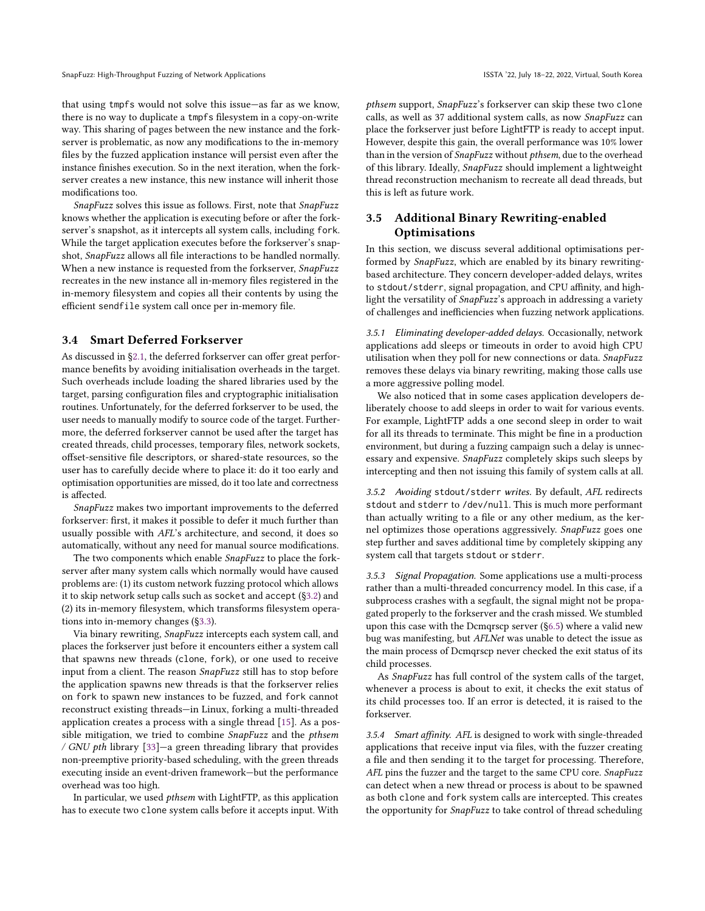that using tmpfs would not solve this issue—as far as we know, there is no way to duplicate a tmpfs filesystem in a copy-on-write way. This sharing of pages between the new instance and the forkserver is problematic, as now any modifications to the in-memory files by the fuzzed application instance will persist even after the instance finishes execution. So in the next iteration, when the forkserver creates a new instance, this new instance will inherit those modifications too.

SnapFuzz solves this issue as follows. First, note that SnapFuzz knows whether the application is executing before or after the forkserver's snapshot, as it intercepts all system calls, including fork. While the target application executes before the forkserver's snapshot, SnapFuzz allows all file interactions to be handled normally. When a new instance is requested from the forkserver, SnapFuzz recreates in the new instance all in-memory files registered in the in-memory filesystem and copies all their contents by using the efficient sendfile system call once per in-memory file.

# <span id="page-4-0"></span>3.4 Smart Deferred Forkserver

As discussed in [§2.1,](#page-1-2) the deferred forkserver can offer great performance benefits by avoiding initialisation overheads in the target. Such overheads include loading the shared libraries used by the target, parsing configuration files and cryptographic initialisation routines. Unfortunately, for the deferred forkserver to be used, the user needs to manually modify to source code of the target. Furthermore, the deferred forkserver cannot be used after the target has created threads, child processes, temporary files, network sockets, offset-sensitive file descriptors, or shared-state resources, so the user has to carefully decide where to place it: do it too early and optimisation opportunities are missed, do it too late and correctness is affected.

SnapFuzz makes two important improvements to the deferred forkserver: first, it makes it possible to defer it much further than usually possible with AFL's architecture, and second, it does so automatically, without any need for manual source modifications.

The two components which enable SnapFuzz to place the forkserver after many system calls which normally would have caused problems are: (1) its custom network fuzzing protocol which allows it to skip network setup calls such as socket and accept ([§3.2\)](#page-3-0) and (2) its in-memory filesystem, which transforms filesystem operations into in-memory changes ([§3.3\)](#page-3-1).

Via binary rewriting, SnapFuzz intercepts each system call, and places the forkserver just before it encounters either a system call that spawns new threads (clone, fork), or one used to receive input from a client. The reason SnapFuzz still has to stop before the application spawns new threads is that the forkserver relies on fork to spawn new instances to be fuzzed, and fork cannot reconstruct existing threads—in Linux, forking a multi-threaded application creates a process with a single thread [\[15\]](#page-11-6). As a possible mitigation, we tried to combine SnapFuzz and the pthsem / GNU pth library [\[33\]](#page-11-7)—a green threading library that provides non-preemptive priority-based scheduling, with the green threads executing inside an event-driven framework—but the performance overhead was too high.

In particular, we used pthsem with LightFTP, as this application has to execute two clone system calls before it accepts input. With pthsem support, SnapFuzz's forkserver can skip these two clone calls, as well as 37 additional system calls, as now SnapFuzz can place the forkserver just before LightFTP is ready to accept input. However, despite this gain, the overall performance was 10% lower than in the version of SnapFuzz without pthsem, due to the overhead of this library. Ideally, SnapFuzz should implement a lightweight thread reconstruction mechanism to recreate all dead threads, but this is left as future work.

# <span id="page-4-1"></span>3.5 Additional Binary Rewriting-enabled **Optimisations**

In this section, we discuss several additional optimisations performed by SnapFuzz, which are enabled by its binary rewritingbased architecture. They concern developer-added delays, writes to stdout/stderr, signal propagation, and CPU affinity, and highlight the versatility of SnapFuzz's approach in addressing a variety of challenges and inefficiencies when fuzzing network applications.

3.5.1 Eliminating developer-added delays. Occasionally, network applications add sleeps or timeouts in order to avoid high CPU utilisation when they poll for new connections or data. SnapFuzz removes these delays via binary rewriting, making those calls use a more aggressive polling model.

We also noticed that in some cases application developers deliberately choose to add sleeps in order to wait for various events. For example, LightFTP adds a one second sleep in order to wait for all its threads to terminate. This might be fine in a production environment, but during a fuzzing campaign such a delay is unnecessary and expensive. SnapFuzz completely skips such sleeps by intercepting and then not issuing this family of system calls at all.

3.5.2 Avoiding stdout/stderr writes. By default, AFL redirects stdout and stderr to /dev/null. This is much more performant than actually writing to a file or any other medium, as the kernel optimizes those operations aggressively. SnapFuzz goes one step further and saves additional time by completely skipping any system call that targets stdout or stderr.

<span id="page-4-2"></span>3.5.3 Signal Propagation. Some applications use a multi-process rather than a multi-threaded concurrency model. In this case, if a subprocess crashes with a segfault, the signal might not be propagated properly to the forkserver and the crash missed. We stumbled upon this case with the Dcmqrscp server ([§6.5\)](#page-7-0) where a valid new bug was manifesting, but AFLNet was unable to detect the issue as the main process of Dcmqrscp never checked the exit status of its child processes.

As SnapFuzz has full control of the system calls of the target, whenever a process is about to exit, it checks the exit status of its child processes too. If an error is detected, it is raised to the forkserver.

3.5.4 Smart affinity. AFL is designed to work with single-threaded applications that receive input via files, with the fuzzer creating a file and then sending it to the target for processing. Therefore, AFL pins the fuzzer and the target to the same CPU core. SnapFuzz can detect when a new thread or process is about to be spawned as both clone and fork system calls are intercepted. This creates the opportunity for SnapFuzz to take control of thread scheduling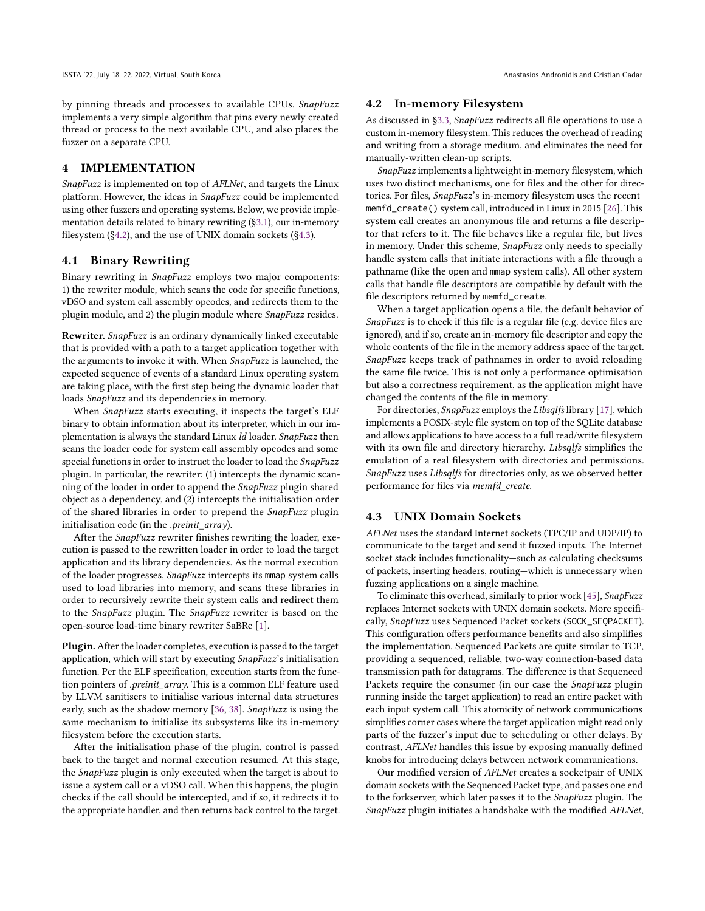by pinning threads and processes to available CPUs. SnapFuzz implements a very simple algorithm that pins every newly created thread or process to the next available CPU, and also places the fuzzer on a separate CPU.

#### 4 IMPLEMENTATION

SnapFuzz is implemented on top of AFLNet, and targets the Linux platform. However, the ideas in SnapFuzz could be implemented using other fuzzers and operating systems. Below, we provide implementation details related to binary rewriting ([§3.1\)](#page-2-1), our in-memory filesystem ([§4.2\)](#page-5-2), and the use of UNIX domain sockets ([§4.3\)](#page-5-1).

## <span id="page-5-0"></span>4.1 Binary Rewriting

Binary rewriting in SnapFuzz employs two major components: 1) the rewriter module, which scans the code for specific functions, vDSO and system call assembly opcodes, and redirects them to the plugin module, and 2) the plugin module where SnapFuzz resides.

Rewriter. SnapFuzz is an ordinary dynamically linked executable that is provided with a path to a target application together with the arguments to invoke it with. When SnapFuzz is launched, the expected sequence of events of a standard Linux operating system are taking place, with the first step being the dynamic loader that loads SnapFuzz and its dependencies in memory.

When SnapFuzz starts executing, it inspects the target's ELF binary to obtain information about its interpreter, which in our implementation is always the standard Linux ld loader. SnapFuzz then scans the loader code for system call assembly opcodes and some special functions in order to instruct the loader to load the SnapFuzz plugin. In particular, the rewriter: (1) intercepts the dynamic scanning of the loader in order to append the SnapFuzz plugin shared object as a dependency, and (2) intercepts the initialisation order of the shared libraries in order to prepend the SnapFuzz plugin initialisation code (in the .preinit\_array).

After the SnapFuzz rewriter finishes rewriting the loader, execution is passed to the rewritten loader in order to load the target application and its library dependencies. As the normal execution of the loader progresses, SnapFuzz intercepts its mmap system calls used to load libraries into memory, and scans these libraries in order to recursively rewrite their system calls and redirect them to the SnapFuzz plugin. The SnapFuzz rewriter is based on the open-source load-time binary rewriter SaBRe [\[1\]](#page-10-0).

Plugin. After the loader completes, execution is passed to the target application, which will start by executing SnapFuzz's initialisation function. Per the ELF specification, execution starts from the function pointers of .preinit\_array. This is a common ELF feature used by LLVM sanitisers to initialise various internal data structures early, such as the shadow memory [\[36,](#page-11-8) [38\]](#page-11-9). SnapFuzz is using the same mechanism to initialise its subsystems like its in-memory filesystem before the execution starts.

After the initialisation phase of the plugin, control is passed back to the target and normal execution resumed. At this stage, the SnapFuzz plugin is only executed when the target is about to issue a system call or a vDSO call. When this happens, the plugin checks if the call should be intercepted, and if so, it redirects it to the appropriate handler, and then returns back control to the target.

## <span id="page-5-2"></span>4.2 In-memory Filesystem

As discussed in [§3.3,](#page-3-1) SnapFuzz redirects all file operations to use a custom in-memory filesystem. This reduces the overhead of reading and writing from a storage medium, and eliminates the need for manually-written clean-up scripts.

SnapFuzz implements a lightweight in-memory filesystem, which uses two distinct mechanisms, one for files and the other for directories. For files, SnapFuzz's in-memory filesystem uses the recent memfd\_create() system call, introduced in Linux in 2015 [\[26\]](#page-11-10). This system call creates an anonymous file and returns a file descriptor that refers to it. The file behaves like a regular file, but lives in memory. Under this scheme, SnapFuzz only needs to specially handle system calls that initiate interactions with a file through a pathname (like the open and mmap system calls). All other system calls that handle file descriptors are compatible by default with the file descriptors returned by memfd\_create.

When a target application opens a file, the default behavior of SnapFuzz is to check if this file is a regular file (e.g. device files are ignored), and if so, create an in-memory file descriptor and copy the whole contents of the file in the memory address space of the target. SnapFuzz keeps track of pathnames in order to avoid reloading the same file twice. This is not only a performance optimisation but also a correctness requirement, as the application might have changed the contents of the file in memory.

For directories, SnapFuzz employs the Libsqlfs library [\[17\]](#page-11-11), which implements a POSIX-style file system on top of the SQLite database and allows applications to have access to a full read/write filesystem with its own file and directory hierarchy. Libsqlfs simplifies the emulation of a real filesystem with directories and permissions. SnapFuzz uses Libsqlfs for directories only, as we observed better performance for files via memfd\_create.

#### <span id="page-5-1"></span>4.3 UNIX Domain Sockets

AFLNet uses the standard Internet sockets (TPC/IP and UDP/IP) to communicate to the target and send it fuzzed inputs. The Internet socket stack includes functionality—such as calculating checksums of packets, inserting headers, routing—which is unnecessary when fuzzing applications on a single machine.

To eliminate this overhead, similarly to prior work [\[45\]](#page-11-5), SnapFuzz replaces Internet sockets with UNIX domain sockets. More specifically, SnapFuzz uses Sequenced Packet sockets (SOCK\_SEQPACKET). This configuration offers performance benefits and also simplifies the implementation. Sequenced Packets are quite similar to TCP, providing a sequenced, reliable, two-way connection-based data transmission path for datagrams. The difference is that Sequenced Packets require the consumer (in our case the SnapFuzz plugin running inside the target application) to read an entire packet with each input system call. This atomicity of network communications simplifies corner cases where the target application might read only parts of the fuzzer's input due to scheduling or other delays. By contrast, AFLNet handles this issue by exposing manually defined knobs for introducing delays between network communications.

Our modified version of AFLNet creates a socketpair of UNIX domain sockets with the Sequenced Packet type, and passes one end to the forkserver, which later passes it to the SnapFuzz plugin. The SnapFuzz plugin initiates a handshake with the modified AFLNet,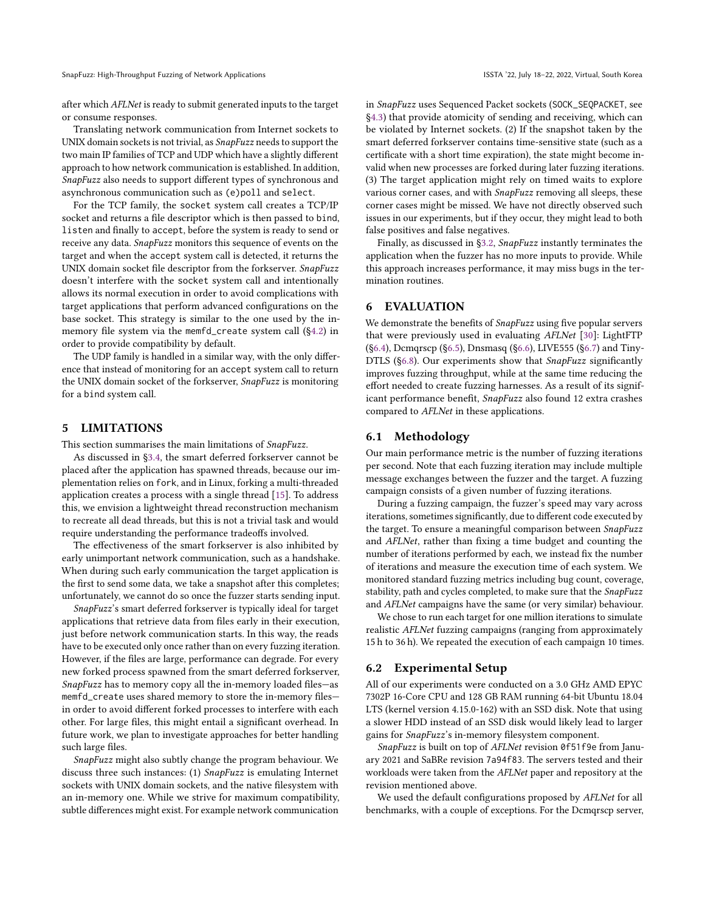SnapFuzz: High-Throughput Fuzzing of Network Applications **ISSTA** '22, July 18-22, 2022, Virtual, South Korea

after which AFLNet is ready to submit generated inputs to the target or consume responses.

Translating network communication from Internet sockets to UNIX domain sockets is not trivial, as SnapFuzz needs to support the two main IP families of TCP and UDP which have a slightly different approach to how network communication is established. In addition, SnapFuzz also needs to support different types of synchronous and asynchronous communication such as (e)poll and select.

For the TCP family, the socket system call creates a TCP/IP socket and returns a file descriptor which is then passed to bind, listen and finally to accept, before the system is ready to send or receive any data. SnapFuzz monitors this sequence of events on the target and when the accept system call is detected, it returns the UNIX domain socket file descriptor from the forkserver. SnapFuzz doesn't interfere with the socket system call and intentionally allows its normal execution in order to avoid complications with target applications that perform advanced configurations on the base socket. This strategy is similar to the one used by the inmemory file system via the memfd\_create system call ([§4.2\)](#page-5-2) in order to provide compatibility by default.

The UDP family is handled in a similar way, with the only difference that instead of monitoring for an accept system call to return the UNIX domain socket of the forkserver, SnapFuzz is monitoring for a bind system call.

#### 5 LIMITATIONS

This section summarises the main limitations of SnapFuzz.

As discussed in [§3.4,](#page-4-0) the smart deferred forkserver cannot be placed after the application has spawned threads, because our implementation relies on fork, and in Linux, forking a multi-threaded application creates a process with a single thread [\[15\]](#page-11-6). To address this, we envision a lightweight thread reconstruction mechanism to recreate all dead threads, but this is not a trivial task and would require understanding the performance tradeoffs involved.

The effectiveness of the smart forkserver is also inhibited by early unimportant network communication, such as a handshake. When during such early communication the target application is the first to send some data, we take a snapshot after this completes; unfortunately, we cannot do so once the fuzzer starts sending input.

SnapFuzz's smart deferred forkserver is typically ideal for target applications that retrieve data from files early in their execution, just before network communication starts. In this way, the reads have to be executed only once rather than on every fuzzing iteration. However, if the files are large, performance can degrade. For every new forked process spawned from the smart deferred forkserver, SnapFuzz has to memory copy all the in-memory loaded files—as memfd\_create uses shared memory to store the in-memory files in order to avoid different forked processes to interfere with each other. For large files, this might entail a significant overhead. In future work, we plan to investigate approaches for better handling such large files.

SnapFuzz might also subtly change the program behaviour. We discuss three such instances: (1) SnapFuzz is emulating Internet sockets with UNIX domain sockets, and the native filesystem with an in-memory one. While we strive for maximum compatibility, subtle differences might exist. For example network communication

in SnapFuzz uses Sequenced Packet sockets (SOCK\_SEQPACKET, see [§4.3\)](#page-5-1) that provide atomicity of sending and receiving, which can be violated by Internet sockets. (2) If the snapshot taken by the smart deferred forkserver contains time-sensitive state (such as a certificate with a short time expiration), the state might become invalid when new processes are forked during later fuzzing iterations. (3) The target application might rely on timed waits to explore various corner cases, and with SnapFuzz removing all sleeps, these corner cases might be missed. We have not directly observed such issues in our experiments, but if they occur, they might lead to both false positives and false negatives.

Finally, as discussed in [§3.2,](#page-3-0) SnapFuzz instantly terminates the application when the fuzzer has no more inputs to provide. While this approach increases performance, it may miss bugs in the termination routines.

# 6 EVALUATION

We demonstrate the benefits of SnapFuzz using five popular servers that were previously used in evaluating AFLNet [\[30\]](#page-11-3): LightFTP ([§6.4\)](#page-7-1), Dcmqrscp ([§6.5\)](#page-7-0), Dnsmasq ([§6.6\)](#page-7-2), LIVE555 ([§6.7\)](#page-8-0) and Tiny-DTLS ([§6.8\)](#page-8-1). Our experiments show that SnapFuzz significantly improves fuzzing throughput, while at the same time reducing the effort needed to create fuzzing harnesses. As a result of its significant performance benefit, SnapFuzz also found 12 extra crashes compared to AFLNet in these applications.

## 6.1 Methodology

Our main performance metric is the number of fuzzing iterations per second. Note that each fuzzing iteration may include multiple message exchanges between the fuzzer and the target. A fuzzing campaign consists of a given number of fuzzing iterations.

During a fuzzing campaign, the fuzzer's speed may vary across iterations, sometimes significantly, due to different code executed by the target. To ensure a meaningful comparison between SnapFuzz and AFLNet, rather than fixing a time budget and counting the number of iterations performed by each, we instead fix the number of iterations and measure the execution time of each system. We monitored standard fuzzing metrics including bug count, coverage, stability, path and cycles completed, to make sure that the SnapFuzz and AFLNet campaigns have the same (or very similar) behaviour.

We chose to run each target for one million iterations to simulate realistic AFLNet fuzzing campaigns (ranging from approximately 15 h to 36 h). We repeated the execution of each campaign 10 times.

#### <span id="page-6-0"></span>6.2 Experimental Setup

All of our experiments were conducted on a 3.0 GHz AMD EPYC 7302P 16-Core CPU and 128 GB RAM running 64-bit Ubuntu 18.04 LTS (kernel version 4.15.0-162) with an SSD disk. Note that using a slower HDD instead of an SSD disk would likely lead to larger gains for SnapFuzz's in-memory filesystem component.

SnapFuzz is built on top of AFLNet revision 0f51f9e from January 2021 and SaBRe revision 7a94f83. The servers tested and their workloads were taken from the AFLNet paper and repository at the revision mentioned above.

We used the default configurations proposed by AFLNet for all benchmarks, with a couple of exceptions. For the Dcmqrscp server,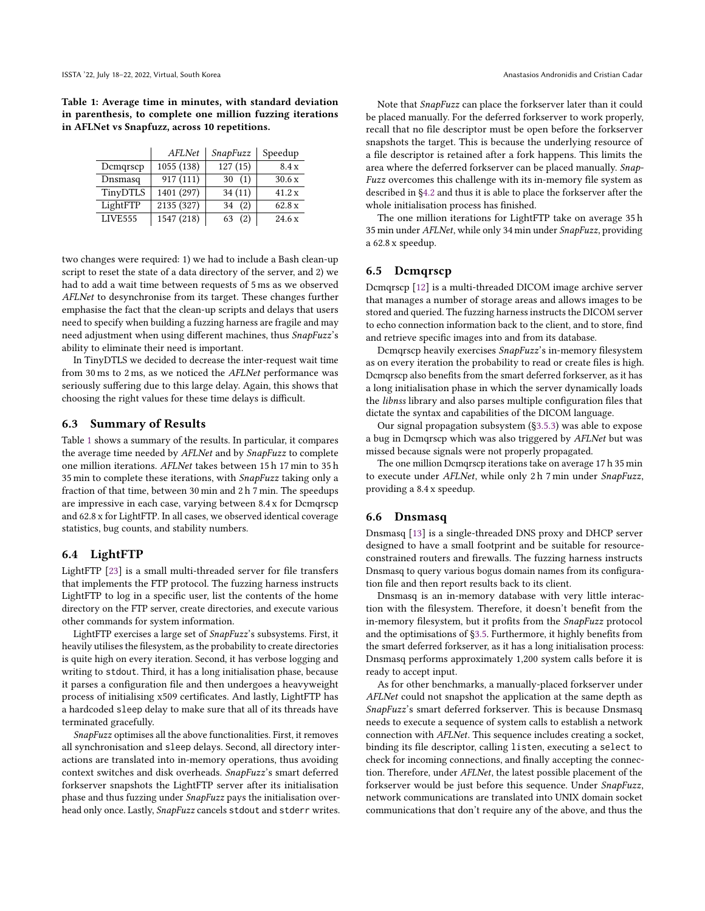<span id="page-7-3"></span>Table 1: Average time in minutes, with standard deviation in parenthesis, to complete one million fuzzing iterations in AFLNet vs Snapfuzz, across 10 repetitions.

|          | AFLNet     | SnapFuzz              | Speedup |
|----------|------------|-----------------------|---------|
| Demqrsep | 1055 (138) | $\overline{127} (15)$ | 8.4x    |
| Dnsmasq  | 917 (111)  | 30(1)                 | 30.6x   |
| TinyDTLS | 1401 (297) | 34(11)                | 41.2x   |
| LightFTP | 2135 (327) | (2)<br>34             | 62.8x   |
| LIVE555  | 1547 (218) | (2)<br>63             | 24.6 x  |

two changes were required: 1) we had to include a Bash clean-up script to reset the state of a data directory of the server, and 2) we had to add a wait time between requests of 5 ms as we observed AFLNet to desynchronise from its target. These changes further emphasise the fact that the clean-up scripts and delays that users need to specify when building a fuzzing harness are fragile and may need adjustment when using different machines, thus SnapFuzz's ability to eliminate their need is important.

In TinyDTLS we decided to decrease the inter-request wait time from 30 ms to 2 ms, as we noticed the AFLNet performance was seriously suffering due to this large delay. Again, this shows that choosing the right values for these time delays is difficult.

#### 6.3 Summary of Results

Table [1](#page-7-3) shows a summary of the results. In particular, it compares the average time needed by AFLNet and by SnapFuzz to complete one million iterations. AFLNet takes between 15 h 17 min to 35 h 35 min to complete these iterations, with SnapFuzz taking only a fraction of that time, between 30 min and 2 h 7 min. The speedups are impressive in each case, varying between 8.4 x for Dcmqrscp and 62.8 x for LightFTP. In all cases, we observed identical coverage statistics, bug counts, and stability numbers.

## <span id="page-7-1"></span>6.4 LightFTP

LightFTP [\[23\]](#page-11-12) is a small multi-threaded server for file transfers that implements the FTP protocol. The fuzzing harness instructs LightFTP to log in a specific user, list the contents of the home directory on the FTP server, create directories, and execute various other commands for system information.

LightFTP exercises a large set of SnapFuzz's subsystems. First, it heavily utilises the filesystem, as the probability to create directories is quite high on every iteration. Second, it has verbose logging and writing to stdout. Third, it has a long initialisation phase, because it parses a configuration file and then undergoes a heavyweight process of initialising x509 certificates. And lastly, LightFTP has a hardcoded sleep delay to make sure that all of its threads have terminated gracefully.

SnapFuzz optimises all the above functionalities. First, it removes all synchronisation and sleep delays. Second, all directory interactions are translated into in-memory operations, thus avoiding context switches and disk overheads. SnapFuzz's smart deferred forkserver snapshots the LightFTP server after its initialisation phase and thus fuzzing under SnapFuzz pays the initialisation overhead only once. Lastly, SnapFuzz cancels stdout and stderr writes.

Note that SnapFuzz can place the forkserver later than it could be placed manually. For the deferred forkserver to work properly, recall that no file descriptor must be open before the forkserver snapshots the target. This is because the underlying resource of a file descriptor is retained after a fork happens. This limits the area where the deferred forkserver can be placed manually. Snap-Fuzz overcomes this challenge with its in-memory file system as described in [§4.2](#page-5-2) and thus it is able to place the forkserver after the whole initialisation process has finished.

The one million iterations for LightFTP take on average 35 h 35 min under AFLNet, while only 34 min under SnapFuzz, providing a 62.8 x speedup.

# <span id="page-7-0"></span>6.5 Dcmqrscp

Dcmqrscp [\[12\]](#page-11-13) is a multi-threaded DICOM image archive server that manages a number of storage areas and allows images to be stored and queried. The fuzzing harness instructs the DICOM server to echo connection information back to the client, and to store, find and retrieve specific images into and from its database.

Dcmqrscp heavily exercises SnapFuzz's in-memory filesystem as on every iteration the probability to read or create files is high. Dcmqrscp also benefits from the smart deferred forkserver, as it has a long initialisation phase in which the server dynamically loads the libnss library and also parses multiple configuration files that dictate the syntax and capabilities of the DICOM language.

Our signal propagation subsystem ([§3.5.3\)](#page-4-2) was able to expose a bug in Dcmqrscp which was also triggered by AFLNet but was missed because signals were not properly propagated.

The one million Dcmqrscp iterations take on average 17 h 35 min to execute under AFLNet, while only 2 h 7 min under SnapFuzz, providing a 8.4 x speedup.

#### <span id="page-7-2"></span>6.6 Dnsmasq

Dnsmasq [\[13\]](#page-11-14) is a single-threaded DNS proxy and DHCP server designed to have a small footprint and be suitable for resourceconstrained routers and firewalls. The fuzzing harness instructs Dnsmasq to query various bogus domain names from its configuration file and then report results back to its client.

Dnsmasq is an in-memory database with very little interaction with the filesystem. Therefore, it doesn't benefit from the in-memory filesystem, but it profits from the SnapFuzz protocol and the optimisations of [§3.5.](#page-4-1) Furthermore, it highly benefits from the smart deferred forkserver, as it has a long initialisation process: Dnsmasq performs approximately 1,200 system calls before it is ready to accept input.

As for other benchmarks, a manually-placed forkserver under AFLNet could not snapshot the application at the same depth as SnapFuzz's smart deferred forkserver. This is because Dnsmasq needs to execute a sequence of system calls to establish a network connection with AFLNet. This sequence includes creating a socket, binding its file descriptor, calling listen, executing a select to check for incoming connections, and finally accepting the connection. Therefore, under AFLNet, the latest possible placement of the forkserver would be just before this sequence. Under SnapFuzz, network communications are translated into UNIX domain socket communications that don't require any of the above, and thus the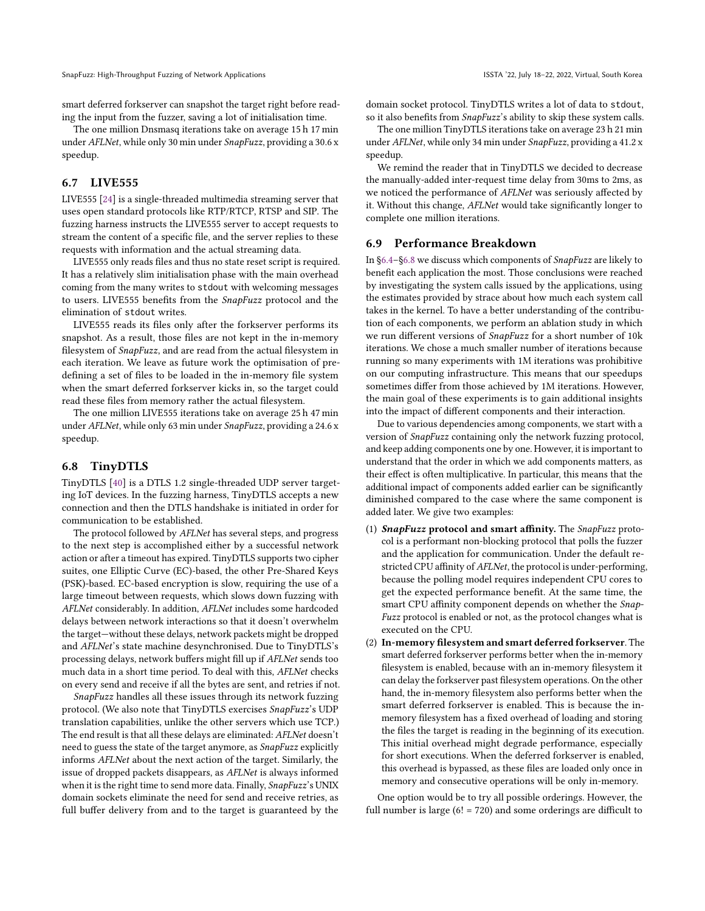smart deferred forkserver can snapshot the target right before reading the input from the fuzzer, saving a lot of initialisation time.

The one million Dnsmasq iterations take on average 15 h 17 min under AFLNet, while only 30 min under SnapFuzz, providing a 30.6 x speedup.

# <span id="page-8-0"></span>6.7 LIVE555

LIVE555 [\[24\]](#page-11-15) is a single-threaded multimedia streaming server that uses open standard protocols like RTP/RTCP, RTSP and SIP. The fuzzing harness instructs the LIVE555 server to accept requests to stream the content of a specific file, and the server replies to these requests with information and the actual streaming data.

LIVE555 only reads files and thus no state reset script is required. It has a relatively slim initialisation phase with the main overhead coming from the many writes to stdout with welcoming messages to users. LIVE555 benefits from the SnapFuzz protocol and the elimination of stdout writes.

LIVE555 reads its files only after the forkserver performs its snapshot. As a result, those files are not kept in the in-memory filesystem of SnapFuzz, and are read from the actual filesystem in each iteration. We leave as future work the optimisation of predefining a set of files to be loaded in the in-memory file system when the smart deferred forkserver kicks in, so the target could read these files from memory rather the actual filesystem.

The one million LIVE555 iterations take on average 25 h 47 min under AFLNet, while only 63 min under SnapFuzz, providing a 24.6 x speedup.

#### <span id="page-8-1"></span>6.8 TinyDTLS

TinyDTLS [\[40\]](#page-11-16) is a DTLS 1.2 single-threaded UDP server targeting IoT devices. In the fuzzing harness, TinyDTLS accepts a new connection and then the DTLS handshake is initiated in order for communication to be established.

The protocol followed by AFLNet has several steps, and progress to the next step is accomplished either by a successful network action or after a timeout has expired. TinyDTLS supports two cipher suites, one Elliptic Curve (EC)-based, the other Pre-Shared Keys (PSK)-based. EC-based encryption is slow, requiring the use of a large timeout between requests, which slows down fuzzing with AFLNet considerably. In addition, AFLNet includes some hardcoded delays between network interactions so that it doesn't overwhelm the target—without these delays, network packets might be dropped and AFLNet's state machine desynchronised. Due to TinyDTLS's processing delays, network buffers might fill up if AFLNet sends too much data in a short time period. To deal with this, AFLNet checks on every send and receive if all the bytes are sent, and retries if not.

SnapFuzz handles all these issues through its network fuzzing protocol. (We also note that TinyDTLS exercises SnapFuzz's UDP translation capabilities, unlike the other servers which use TCP.) The end result is that all these delays are eliminated: AFLNet doesn't need to guess the state of the target anymore, as SnapFuzz explicitly informs AFLNet about the next action of the target. Similarly, the issue of dropped packets disappears, as AFLNet is always informed when it is the right time to send more data. Finally, SnapFuzz's UNIX domain sockets eliminate the need for send and receive retries, as full buffer delivery from and to the target is guaranteed by the

domain socket protocol. TinyDTLS writes a lot of data to stdout, so it also benefits from SnapFuzz's ability to skip these system calls.

The one million TinyDTLS iterations take on average 23 h 21 min under AFLNet, while only 34 min under SnapFuzz, providing a 41.2 x speedup.

We remind the reader that in TinyDTLS we decided to decrease the manually-added inter-request time delay from 30ms to 2ms, as we noticed the performance of AFLNet was seriously affected by it. Without this change, AFLNet would take significantly longer to complete one million iterations.

#### 6.9 Performance Breakdown

In [§6.4–](#page-7-1)[§6.8](#page-8-1) we discuss which components of SnapFuzz are likely to benefit each application the most. Those conclusions were reached by investigating the system calls issued by the applications, using the estimates provided by strace about how much each system call takes in the kernel. To have a better understanding of the contribution of each components, we perform an ablation study in which we run different versions of SnapFuzz for a short number of 10k iterations. We chose a much smaller number of iterations because running so many experiments with 1M iterations was prohibitive on our computing infrastructure. This means that our speedups sometimes differ from those achieved by 1M iterations. However, the main goal of these experiments is to gain additional insights into the impact of different components and their interaction.

Due to various dependencies among components, we start with a version of SnapFuzz containing only the network fuzzing protocol, and keep adding components one by one. However, it is important to understand that the order in which we add components matters, as their effect is often multiplicative. In particular, this means that the additional impact of components added earlier can be significantly diminished compared to the case where the same component is added later. We give two examples:

- (1) SnapFuzz protocol and smart affinity. The SnapFuzz protocol is a performant non-blocking protocol that polls the fuzzer and the application for communication. Under the default restricted CPU affinity of AFLNet, the protocol is under-performing, because the polling model requires independent CPU cores to get the expected performance benefit. At the same time, the smart CPU affinity component depends on whether the *Snap-*Fuzz protocol is enabled or not, as the protocol changes what is executed on the CPU.
- (2) In-memory filesystem and smart deferred forkserver. The smart deferred forkserver performs better when the in-memory filesystem is enabled, because with an in-memory filesystem it can delay the forkserver past filesystem operations. On the other hand, the in-memory filesystem also performs better when the smart deferred forkserver is enabled. This is because the inmemory filesystem has a fixed overhead of loading and storing the files the target is reading in the beginning of its execution. This initial overhead might degrade performance, especially for short executions. When the deferred forkserver is enabled, this overhead is bypassed, as these files are loaded only once in memory and consecutive operations will be only in-memory.

One option would be to try all possible orderings. However, the full number is large (6! = 720) and some orderings are difficult to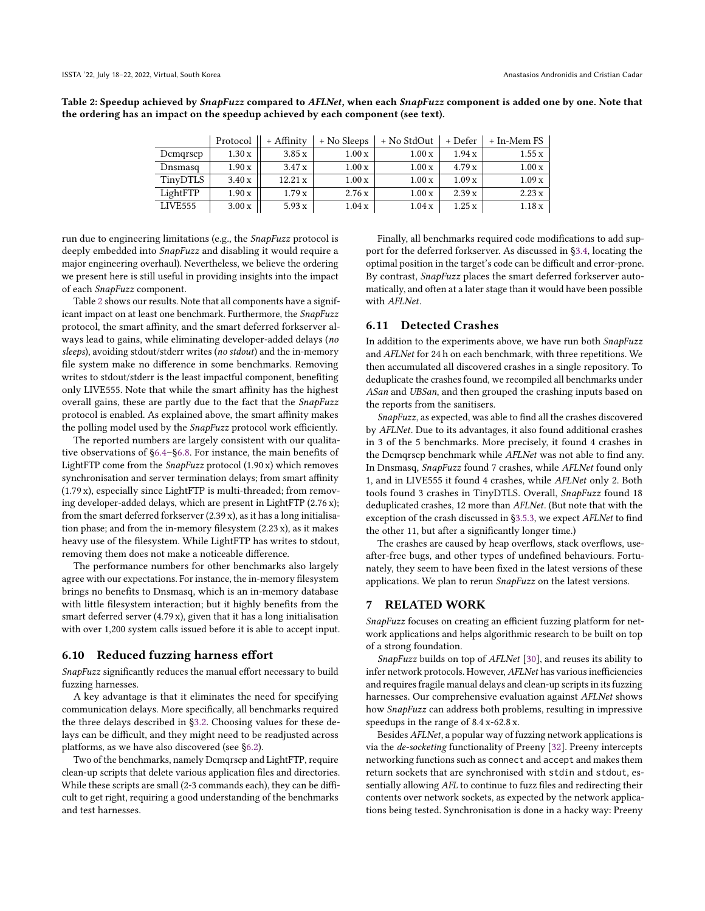<span id="page-9-0"></span>Table 2: Speedup achieved by SnapFuzz compared to AFLNet, when each SnapFuzz component is added one by one. Note that the ordering has an impact on the speedup achieved by each component (see text).

|          | Protocol | + Affinity | + No Sleeps | + No StdOut | + Defer | + In-Mem FS |
|----------|----------|------------|-------------|-------------|---------|-------------|
| Demgrsep | 1.30x    | 3.85x      | 1.00x       | 1.00x       | 1.94 x  | 1.55x       |
| Dnsmasq  | 1.90x    | 3.47x      | 1.00x       | 1.00x       | 4.79 x  | 1.00x       |
| TinyDTLS | 3.40x    | 12.21 x    | 1.00x       | 1.00x       | 1.09x   | 1.09x       |
| LightFTP | 1.90x    | 1.79x      | 2.76x       | 1.00x       | 2.39x   | 2.23x       |
| LIVE555  | 3.00x    | 5.93x      | 1.04x       | 1.04x       | 1.25x   | 1.18x       |

run due to engineering limitations (e.g., the SnapFuzz protocol is deeply embedded into SnapFuzz and disabling it would require a major engineering overhaul). Nevertheless, we believe the ordering we present here is still useful in providing insights into the impact of each SnapFuzz component.

Table [2](#page-9-0) shows our results. Note that all components have a significant impact on at least one benchmark. Furthermore, the SnapFuzz protocol, the smart affinity, and the smart deferred forkserver always lead to gains, while eliminating developer-added delays (no sleeps), avoiding stdout/stderr writes (no stdout) and the in-memory file system make no difference in some benchmarks. Removing writes to stdout/stderr is the least impactful component, benefiting only LIVE555. Note that while the smart affinity has the highest overall gains, these are partly due to the fact that the SnapFuzz protocol is enabled. As explained above, the smart affinity makes the polling model used by the SnapFuzz protocol work efficiently.

The reported numbers are largely consistent with our qualitative observations of [§6.4–](#page-7-1)[§6.8.](#page-8-1) For instance, the main benefits of LightFTP come from the SnapFuzz protocol (1.90 x) which removes synchronisation and server termination delays; from smart affinity (1.79 x), especially since LightFTP is multi-threaded; from removing developer-added delays, which are present in LightFTP (2.76 x); from the smart deferred forkserver (2.39 x), as it has a long initialisation phase; and from the in-memory filesystem (2.23 x), as it makes heavy use of the filesystem. While LightFTP has writes to stdout, removing them does not make a noticeable difference.

The performance numbers for other benchmarks also largely agree with our expectations. For instance, the in-memory filesystem brings no benefits to Dnsmasq, which is an in-memory database with little filesystem interaction; but it highly benefits from the smart deferred server (4.79 x), given that it has a long initialisation with over 1,200 system calls issued before it is able to accept input.

## 6.10 Reduced fuzzing harness effort

SnapFuzz significantly reduces the manual effort necessary to build fuzzing harnesses.

A key advantage is that it eliminates the need for specifying communication delays. More specifically, all benchmarks required the three delays described in [§3.2.](#page-3-0) Choosing values for these delays can be difficult, and they might need to be readjusted across platforms, as we have also discovered (see [§6.2\)](#page-6-0).

Two of the benchmarks, namely Dcmqrscp and LightFTP, require clean-up scripts that delete various application files and directories. While these scripts are small (2-3 commands each), they can be difficult to get right, requiring a good understanding of the benchmarks and test harnesses.

Finally, all benchmarks required code modifications to add support for the deferred forkserver. As discussed in [§3.4,](#page-4-0) locating the optimal position in the target's code can be difficult and error-prone. By contrast, SnapFuzz places the smart deferred forkserver automatically, and often at a later stage than it would have been possible with AFLNet.

# 6.11 Detected Crashes

In addition to the experiments above, we have run both SnapFuzz and AFLNet for 24 h on each benchmark, with three repetitions. We then accumulated all discovered crashes in a single repository. To deduplicate the crashes found, we recompiled all benchmarks under ASan and UBSan, and then grouped the crashing inputs based on the reports from the sanitisers.

SnapFuzz, as expected, was able to find all the crashes discovered by AFLNet. Due to its advantages, it also found additional crashes in 3 of the 5 benchmarks. More precisely, it found 4 crashes in the Dcmqrscp benchmark while AFLNet was not able to find any. In Dnsmasq, SnapFuzz found 7 crashes, while AFLNet found only 1, and in LIVE555 it found 4 crashes, while AFLNet only 2. Both tools found 3 crashes in TinyDTLS. Overall, SnapFuzz found 18 deduplicated crashes, 12 more than AFLNet. (But note that with the exception of the crash discussed in [§3.5.3,](#page-4-2) we expect AFLNet to find the other 11, but after a significantly longer time.)

The crashes are caused by heap overflows, stack overflows, useafter-free bugs, and other types of undefined behaviours. Fortunately, they seem to have been fixed in the latest versions of these applications. We plan to rerun SnapFuzz on the latest versions.

### 7 RELATED WORK

SnapFuzz focuses on creating an efficient fuzzing platform for network applications and helps algorithmic research to be built on top of a strong foundation.

SnapFuzz builds on top of AFLNet [\[30\]](#page-11-3), and reuses its ability to infer network protocols. However, AFLNet has various inefficiencies and requires fragile manual delays and clean-up scripts in its fuzzing harnesses. Our comprehensive evaluation against AFLNet shows how SnapFuzz can address both problems, resulting in impressive speedups in the range of 8.4 x-62.8 x.

Besides AFLNet, a popular way of fuzzing network applications is via the de-socketing functionality of Preeny [\[32\]](#page-11-17). Preeny intercepts networking functions such as connect and accept and makes them return sockets that are synchronised with stdin and stdout, essentially allowing AFL to continue to fuzz files and redirecting their contents over network sockets, as expected by the network applications being tested. Synchronisation is done in a hacky way: Preeny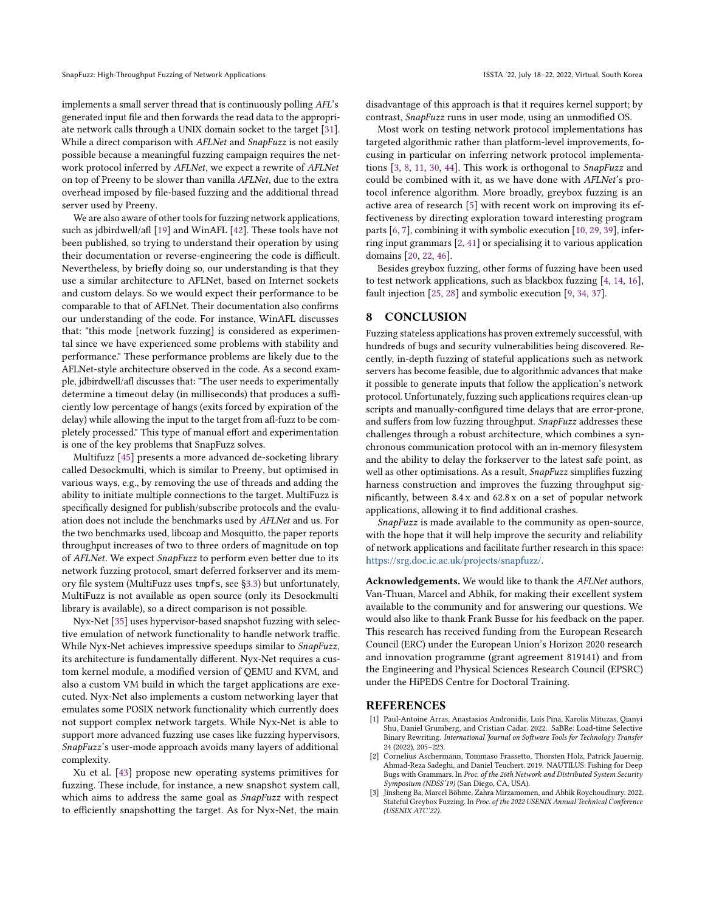implements a small server thread that is continuously polling AFL's generated input file and then forwards the read data to the appropriate network calls through a UNIX domain socket to the target [\[31\]](#page-11-18). While a direct comparison with AFLNet and SnapFuzz is not easily possible because a meaningful fuzzing campaign requires the network protocol inferred by AFLNet, we expect a rewrite of AFLNet on top of Preeny to be slower than vanilla AFLNet, due to the extra overhead imposed by file-based fuzzing and the additional thread server used by Preeny.

We are also aware of other tools for fuzzing network applications, such as jdbirdwell/afl [\[19\]](#page-11-19) and WinAFL [\[42\]](#page-11-20). These tools have not been published, so trying to understand their operation by using their documentation or reverse-engineering the code is difficult. Nevertheless, by briefly doing so, our understanding is that they use a similar architecture to AFLNet, based on Internet sockets and custom delays. So we would expect their performance to be comparable to that of AFLNet. Their documentation also confirms our understanding of the code. For instance, WinAFL discusses that: "this mode [network fuzzing] is considered as experimental since we have experienced some problems with stability and performance." These performance problems are likely due to the AFLNet-style architecture observed in the code. As a second example, jdbirdwell/afl discusses that: "The user needs to experimentally determine a timeout delay (in milliseconds) that produces a sufficiently low percentage of hangs (exits forced by expiration of the delay) while allowing the input to the target from afl-fuzz to be completely processed." This type of manual effort and experimentation is one of the key problems that SnapFuzz solves.

Multifuzz [\[45\]](#page-11-5) presents a more advanced de-socketing library called Desockmulti, which is similar to Preeny, but optimised in various ways, e.g., by removing the use of threads and adding the ability to initiate multiple connections to the target. MultiFuzz is specifically designed for publish/subscribe protocols and the evaluation does not include the benchmarks used by AFLNet and us. For the two benchmarks used, libcoap and Mosquitto, the paper reports throughput increases of two to three orders of magnitude on top of AFLNet. We expect SnapFuzz to perform even better due to its network fuzzing protocol, smart deferred forkserver and its memory file system (MultiFuzz uses tmpfs, see [§3.3\)](#page-3-1) but unfortunately, MultiFuzz is not available as open source (only its Desockmulti library is available), so a direct comparison is not possible.

Nyx-Net [\[35\]](#page-11-21) uses hypervisor-based snapshot fuzzing with selective emulation of network functionality to handle network traffic. While Nyx-Net achieves impressive speedups similar to SnapFuzz, its architecture is fundamentally different. Nyx-Net requires a custom kernel module, a modified version of QEMU and KVM, and also a custom VM build in which the target applications are executed. Nyx-Net also implements a custom networking layer that emulates some POSIX network functionality which currently does not support complex network targets. While Nyx-Net is able to support more advanced fuzzing use cases like fuzzing hypervisors, SnapFuzz's user-mode approach avoids many layers of additional complexity.

Xu et al. [\[43\]](#page-11-22) propose new operating systems primitives for fuzzing. These include, for instance, a new snapshot system call, which aims to address the same goal as SnapFuzz with respect to efficiently snapshotting the target. As for Nyx-Net, the main

disadvantage of this approach is that it requires kernel support; by contrast, SnapFuzz runs in user mode, using an unmodified OS.

Most work on testing network protocol implementations has targeted algorithmic rather than platform-level improvements, focusing in particular on inferring network protocol implementations [\[3,](#page-10-1) [8,](#page-11-23) [11,](#page-11-24) [30,](#page-11-3) [44\]](#page-11-25). This work is orthogonal to SnapFuzz and could be combined with it, as we have done with AFLNet's protocol inference algorithm. More broadly, greybox fuzzing is an active area of research [\[5\]](#page-11-26) with recent work on improving its effectiveness by directing exploration toward interesting program parts [\[6,](#page-11-27) [7\]](#page-11-28), combining it with symbolic execution [\[10,](#page-11-29) [29,](#page-11-30) [39\]](#page-11-31), inferring input grammars [\[2,](#page-10-2) [41\]](#page-11-32) or specialising it to various application domains [\[20,](#page-11-33) [22,](#page-11-34) [46\]](#page-11-35).

Besides greybox fuzzing, other forms of fuzzing have been used to test network applications, such as blackbox fuzzing [\[4,](#page-11-36) [14,](#page-11-37) [16\]](#page-11-38), fault injection [\[25,](#page-11-39) [28\]](#page-11-40) and symbolic execution [\[9,](#page-11-41) [34,](#page-11-42) [37\]](#page-11-43).

# 8 CONCLUSION

Fuzzing stateless applications has proven extremely successful, with hundreds of bugs and security vulnerabilities being discovered. Recently, in-depth fuzzing of stateful applications such as network servers has become feasible, due to algorithmic advances that make it possible to generate inputs that follow the application's network protocol. Unfortunately, fuzzing such applications requires clean-up scripts and manually-configured time delays that are error-prone, and suffers from low fuzzing throughput. SnapFuzz addresses these challenges through a robust architecture, which combines a synchronous communication protocol with an in-memory filesystem and the ability to delay the forkserver to the latest safe point, as well as other optimisations. As a result, SnapFuzz simplifies fuzzing harness construction and improves the fuzzing throughput significantly, between 8.4 x and 62.8 x on a set of popular network applications, allowing it to find additional crashes.

SnapFuzz is made available to the community as open-source, with the hope that it will help improve the security and reliability of network applications and facilitate further research in this space: [https://srg.doc.ic.ac.uk/projects/snapfuzz/.](https://srg.doc.ic.ac.uk/projects/snapfuzz/)

Acknowledgements. We would like to thank the AFLNet authors, Van-Thuan, Marcel and Abhik, for making their excellent system available to the community and for answering our questions. We would also like to thank Frank Busse for his feedback on the paper. This research has received funding from the European Research Council (ERC) under the European Union's Horizon 2020 research and innovation programme (grant agreement 819141) and from the Engineering and Physical Sciences Research Council (EPSRC) under the HiPEDS Centre for Doctoral Training.

#### REFERENCES

- <span id="page-10-0"></span>[1] Paul-Antoine Arras, Anastasios Andronidis, Luís Pina, Karolis Mituzas, Qianyi Shu, Daniel Grumberg, and Cristian Cadar. 2022. SaBRe: Load-time Selective Binary Rewriting. International Journal on Software Tools for Technology Transfer 24 (2022), 205–223.
- <span id="page-10-2"></span>[2] Cornelius Aschermann, Tommaso Frassetto, Thorsten Holz, Patrick Jauernig, Ahmad-Reza Sadeghi, and Daniel Teuchert. 2019. NAUTILUS: Fishing for Deep Bugs with Grammars. In Proc. of the 26th Network and Distributed System Security Symposium (NDSS'19) (San Diego, CA, USA).
- <span id="page-10-1"></span>[3] Jinsheng Ba, Marcel Böhme, Zahra Mirzamomen, and Abhik Roychoudhury. 2022. Stateful Greybox Fuzzing. In Proc. of the 2022 USENIX Annual Technical Conference (USENIX ATC'22).